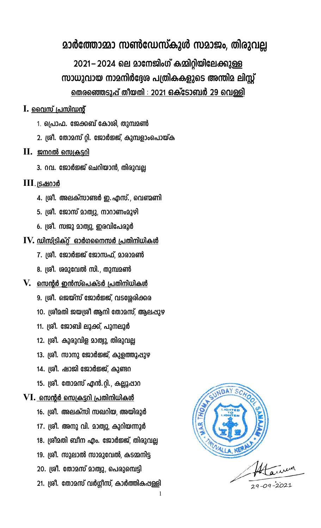## മാർത്തോമ്മാ സൺഡേസ്കൂൾ സമാജം, തിരുവല്ല

2021-2024 ലെ മാനേജിംഗ് കമ്മിറ്റിയിലേക്കുള്ള സാധുവായ നാമനിർദ്ദേശ പത്രികകളുടെ അന്തിമ ലിസ്റ്റ് <u>തെരഞ്ഞെടുപ്പ് തീയതി : 2021 ഒക്ടോബർ 29 വെള്ളി</u>

- $\bf{I.}$  വൈസ് പ്രസിഡന്റ്
	- 1. പ്രൊഫ. ജേക്കബ് കോശി, തുമ്പമൺ
	- 2. ശ്രീ. തോമസ് റ്റി. ജോർജ്ജ്, കുമ്പളാംപൊയ്ക
- $\mathbf{II.}$  ജനറൽ സെക്രട്ടറി
	- 3. റവ. ജോർജ്ജ് ചെറിയാൻ, തിരുവല്ല
- <u>III. ട്രഷറാർ</u>
	- 4. ശ്രീ. അലക്സാണ്ടർ ഇ. എസ്., വെണ്മണി
	- 5. ശ്രീ. ജോസ് മാത്വു, നാറാണംമൂഴി
	- 6. ശ്രീ. സജു മാത്വു, ഇരവിപേരൂർ
- $\mathbf{IV.}$  ഡിസ്ട്രിക്റ് ഓർഗനൈസർ പ്രതിനിധികൾ
	- 7. ശ്രീ. ജോർജ്ജ് ജോസഫ്, മാരാമൺ
	- 8. ശ്രീ. ശമുവേൽ സി., തുമ്പമൺ
- $\bf{V.}$  സെന്റർ ഇൻസ്പെക്ടർ പ്രതിനിധികൾ
	- 9. ശ്രീ. ജെയ്സ് ജോർജ്ജ്, വടശ്ശേരിക്കര
	- 10. ശ്രീമതി ജയശ്രീ ആനി തോമസ്, ആലപ്പുഴ
	- 11. ശ്രീ. ജോബി ലൂക്ക്, പുനലൂർ
	- 12. ശ്രീ. കുരുവിള മാത്വു, തിരുവല്ല
	- 13. ശ്രീ. സാനു ജോർജ്ജ്, കുളത്തുപ്പുഴ
	- 14. ശ്രീ. ഷാജി ജോർജ്ജ്, കുണ്ടറ
	- 15. ശ്രീ. തോമസ് എൻ.റ്റി., കല്ലൂഷാറ

### VI. സെന്റർ സെക്രട്ടറി പ്രതിനിധികൾ

16. ശ്രീ. അലക്സി സഖറിയ, അയിരൂർ 17. ശ്രീ. അനു വി. മാത്വു, കുറിയന്നൂർ 18. ശ്രീമതി ബീന എം. ജോർജ്ജ്, തിരുവല്ല 19. ശ്രീ. സുലാൽ സാമുവേൽ, കടമ്മനിട്ട 20. ശ്രീ. തോമസ് മാത്വു, പെരുമ്പെട്ടി 21. ശ്രീ. തോമസ് വർഗ്ഗീസ്, കാർത്തികപ്പള്ളി

 $\mathbf{1}$ 

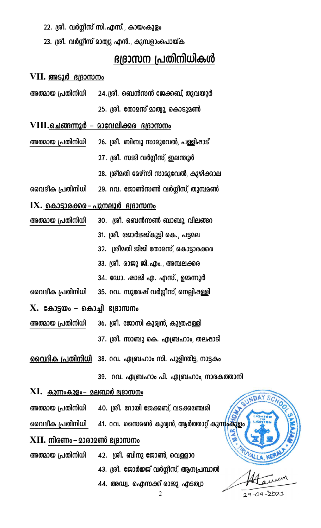- 22. ശ്രീ. വർഗ്ഗീസ് സി.എസ്., കായംകുളം
- 23. ശ്രീ. വർഗ്ഗീസ് മാത്വു എൻ., കുമ്പളാംപൊയ്ക

# ഭദ്രാസന പ്രതിനിധികൾ

#### VII. അടൂർ ഭദ്രാസനം

| അത്മായ പ്രതിനിധി | 24.ശ്രീ. ബെൻസൻ ജേക്കബ്, തുവയൂർ |
|------------------|--------------------------------|
|                  | 25. ശ്രീ. തോമസ് മാത്വു, കൊടുമൺ |

 $\mathbf{VIII.}$ ചെങ്ങന്നൂർ – മാവേലിക്കര ഭദ്രാസനം അത്മായ പ്രതിനിധി 26. ശ്രീ. ബിബു സാമുവേൽ, പള്ളിഷാട്

- 27. ശ്രീ. സജി വർഗ്ഗീസ്, ഇലന്തൂർ
- 28. ശ്രീമതി മേഴ്സി സാമുവേൽ, കുഴിക്കാല
- 29. റവ. ജോൺസൺ വർഗ്ഗീസ്, തുമ്പമൺ വൈദീക പ്രതിനിധി
- $\mathbf{IX.}$  കൊട്ടാരക്കര $-$ പുനലൂർ ഭദ്രാസനം
- 30. ശ്രീ. ബെൻസൺ ബാബു വിലങ്ങറ അത്മായ പ്രതിനിധി 31. ശ്രീ. ജോർജ്ജ്കുട്ടി കെ., പട്ടമല
	- 32. ശ്രീമതി ജിജി തോമസ്, കൊട്ടാരക്കര
	- 33. ശ്രീ. രാജു ജി.എം., അമ്പലക്കര
	- 34. ഡോ. ഷാജി എ. എസ്., ഉമ്മന്നൂർ
- വൈദീക പ്രതിനിധി 35. റവ. സുരേഷ് വർഗ്ഗീസ്, നെല്ലിഷള്ളി
- $X.$  കോട്ടയം കൊച്ചി ഭദ്രാസനം
- അത്മായ പ്രതിനിധി 36. ശ്രീ. ജോസി കുര്വൻ, കൂത്രപ്പള്ളി
	- 37. ശ്രീ. സാബു കെ. എബ്രഹാം, തലപ്പാടി
- വൈദിക പ്രതിനിധി ൂ38. റവ. ഏബ്രഹാം സി. പുളിന്തിട്ട നാട്ടകം
	- 39. റവ. ഏബ്രഹാം പി. ഏബ്രഹാം, നാരകത്താനി
- $\mathbf{XI}$ . കുന്നംകുളം– മലബാർ ഭ്യദാസനം
- അത്മായ പ്രതിനിധി 40. ശ്രീ. റോയി ജേക്കബ്, വടക്കഞ്ചേരി
- വൈദീക പ്രതിനിധി 41. റവ. സൈമൺ കുര്വൻ, ആർത്താറ്റ് കുന്നുകൂളം

### $\bold {XII.}$  നിരണം– മാരാമൺ ഭദ്രാസനം

- 42. ശ്രീ. ബിനു ജോൺ, വെള്ളാറ അത്മായ പ്രതിനിധി
	- 43. ശ്രീ. ജോർജ്ജ് വർഗ്ഗീസ്, ആനപ്രമ്പാൽ
	- 44. അഡ്വ. ഐസക്ക് രാജു, എടത്വാ

NDAY

S